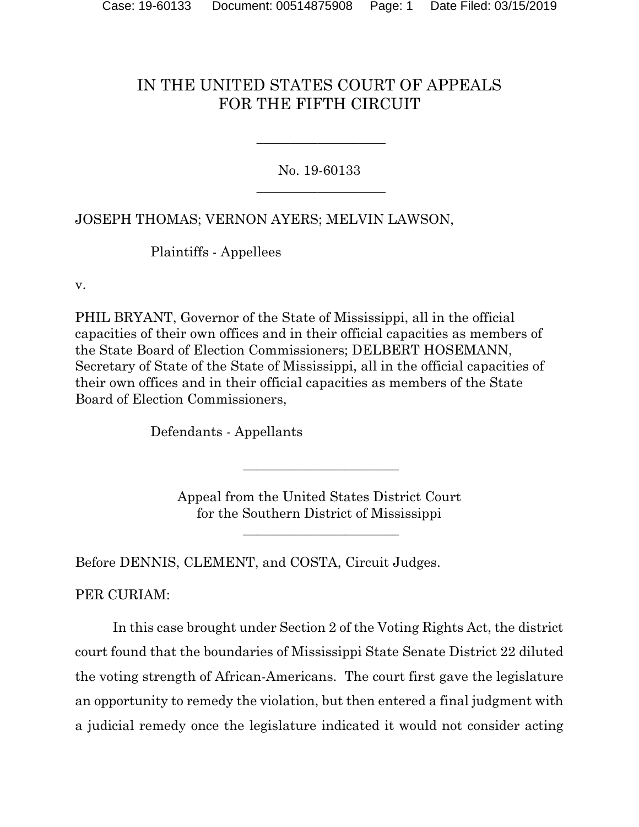## IN THE UNITED STATES COURT OF APPEALS FOR THE FIFTH CIRCUIT

No. 19-60133  $\overline{\phantom{a}}$  , where  $\overline{\phantom{a}}$  , where  $\overline{\phantom{a}}$  , where  $\overline{\phantom{a}}$  , where  $\overline{\phantom{a}}$ 

 $\overline{\phantom{a}}$  , where  $\overline{\phantom{a}}$  , where  $\overline{\phantom{a}}$  , where  $\overline{\phantom{a}}$  , where  $\overline{\phantom{a}}$ 

JOSEPH THOMAS; VERNON AYERS; MELVIN LAWSON,

Plaintiffs - Appellees

v.

PHIL BRYANT, Governor of the State of Mississippi, all in the official capacities of their own offices and in their official capacities as members of the State Board of Election Commissioners; DELBERT HOSEMANN, Secretary of State of the State of Mississippi, all in the official capacities of their own offices and in their official capacities as members of the State Board of Election Commissioners,

Defendants - Appellants

Appeal from the United States District Court for the Southern District of Mississippi

\_\_\_\_\_\_\_\_\_\_\_\_\_\_\_\_\_\_\_\_\_\_\_

\_\_\_\_\_\_\_\_\_\_\_\_\_\_\_\_\_\_\_\_\_\_\_

Before DENNIS, CLEMENT, and COSTA, Circuit Judges.

PER CURIAM:

In this case brought under Section 2 of the Voting Rights Act, the district court found that the boundaries of Mississippi State Senate District 22 diluted the voting strength of African-Americans. The court first gave the legislature an opportunity to remedy the violation, but then entered a final judgment with a judicial remedy once the legislature indicated it would not consider acting